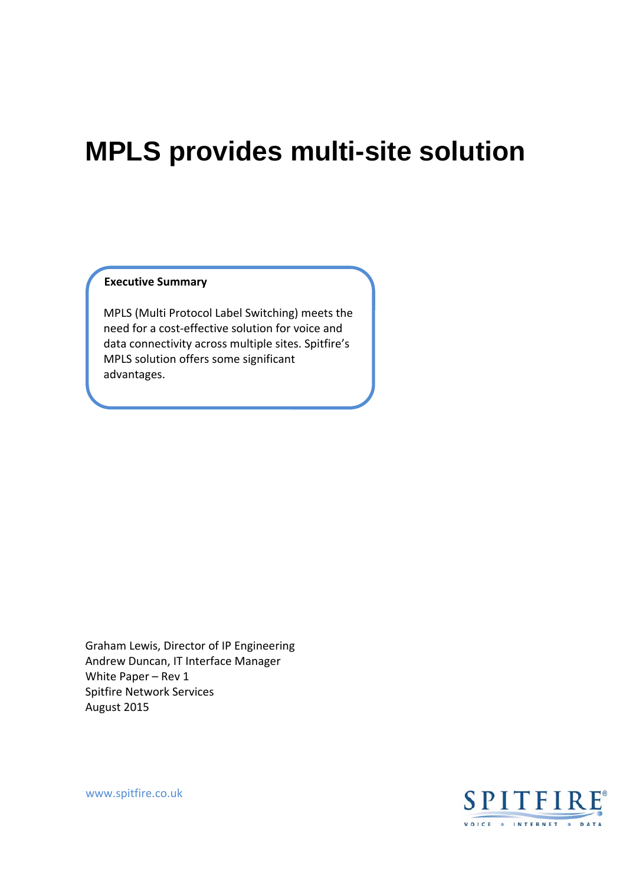# **MPLS provides multi-site solution**

#### **Executive Summary**

MPLS (Multi Protocol Label Switching) meets the need for a cost‐effective solution for voice and data connectivity across multiple sites. Spitfire's MPLS solution offers some significant advantages.

Graham Lewis, Director of IP Engineering Andrew Duncan, IT Interface Manager White Paper – Rev 1 Spitfire Network Services August 2015

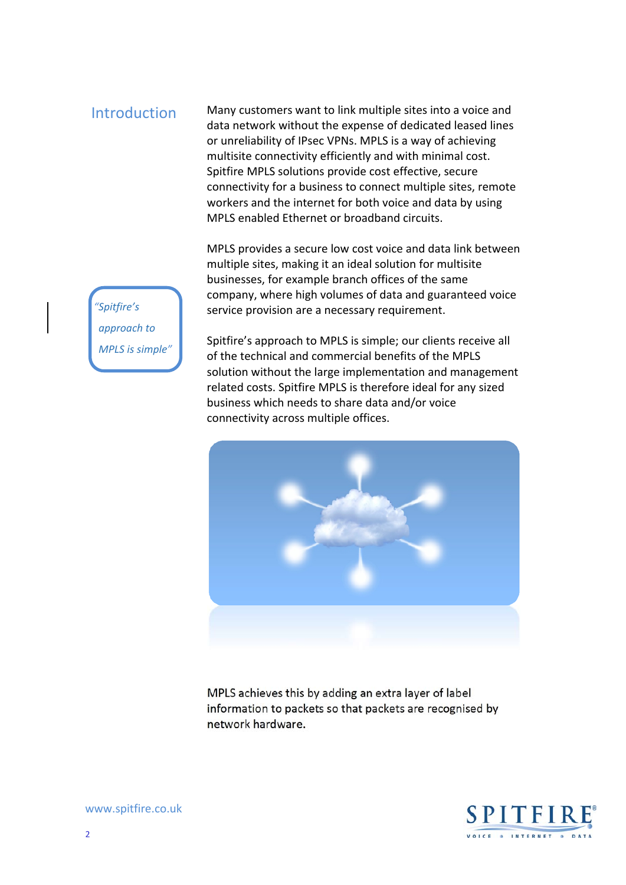#### Introduction Many customers want to link multiple sites into a voice and data network without the expense of dedicated leased lines or unreliability of IPsec VPNs. MPLS is a way of achieving multisite connectivity efficiently and with minimal cost. Spitfire MPLS solutions provide cost effective, secure connectivity for a business to connect multiple sites, remote workers and the internet for both voice and data by using MPLS enabled Ethernet or broadband circuits.

MPLS provides a secure low cost voice and data link between multiple sites, making it an ideal solution for multisite businesses, for example branch offices of the same company, where high volumes of data and guaranteed voice service provision are a necessary requirement.

*"Spitfire's approach to MPLS is simple"*

Spitfire's approach to MPLS is simple; our clients receive all of the technical and commercial benefits of the MPLS solution without the large implementation and management related costs. Spitfire MPLS is therefore ideal for any sized business which needs to share data and/or voice connectivity across multiple offices.



MPLS achieves this by adding an extra layer of label information to packets so that packets are recognised by network hardware.

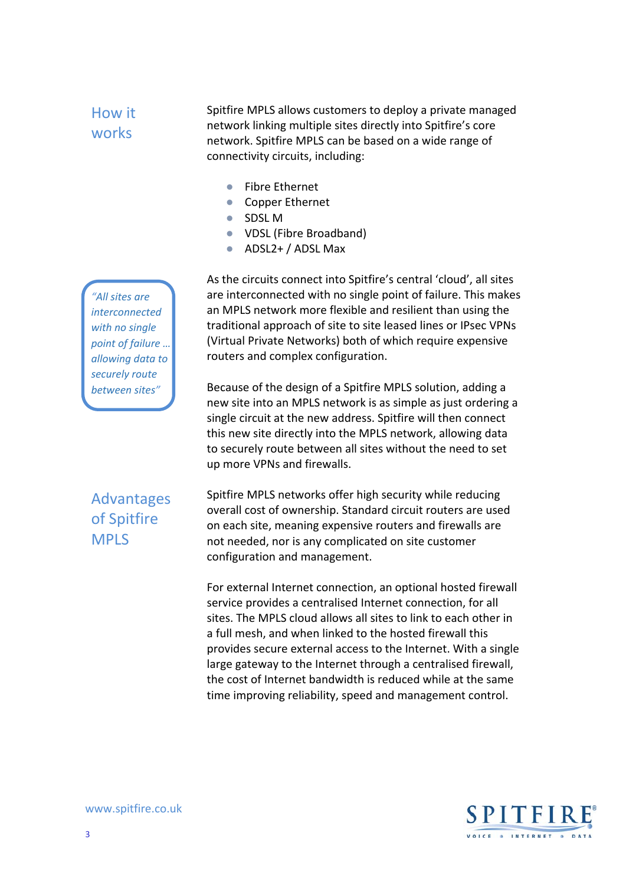## How it works

*"All sites are interconnected with no single point of failure … allowing data to securely route between sites"*

Spitfire MPLS allows customers to deploy a private managed network linking multiple sites directly into Spitfire's core network. Spitfire MPLS can be based on a wide range of connectivity circuits, including:

- Fibre Ethernet
- Copper Ethernet
- SDSL M
- VDSL (Fibre Broadband)
- ADSL2+ / ADSL Max

As the circuits connect into Spitfire's central 'cloud', all sites are interconnected with no single point of failure. This makes an MPLS network more flexible and resilient than using the traditional approach of site to site leased lines or IPsec VPNs (Virtual Private Networks) both of which require expensive routers and complex configuration.

Because of the design of a Spitfire MPLS solution, adding a new site into an MPLS network is as simple as just ordering a single circuit at the new address. Spitfire will then connect this new site directly into the MPLS network, allowing data to securely route between all sites without the need to set up more VPNs and firewalls.

Advantages of Spitfire MPLS

Spitfire MPLS networks offer high security while reducing overall cost of ownership. Standard circuit routers are used on each site, meaning expensive routers and firewalls are not needed, nor is any complicated on site customer configuration and management.

For external Internet connection, an optional hosted firewall service provides a centralised Internet connection, for all sites. The MPLS cloud allows all sites to link to each other in a full mesh, and when linked to the hosted firewall this provides secure external access to the Internet. With a single large gateway to the Internet through a centralised firewall, the cost of Internet bandwidth is reduced while at the same time improving reliability, speed and management control.

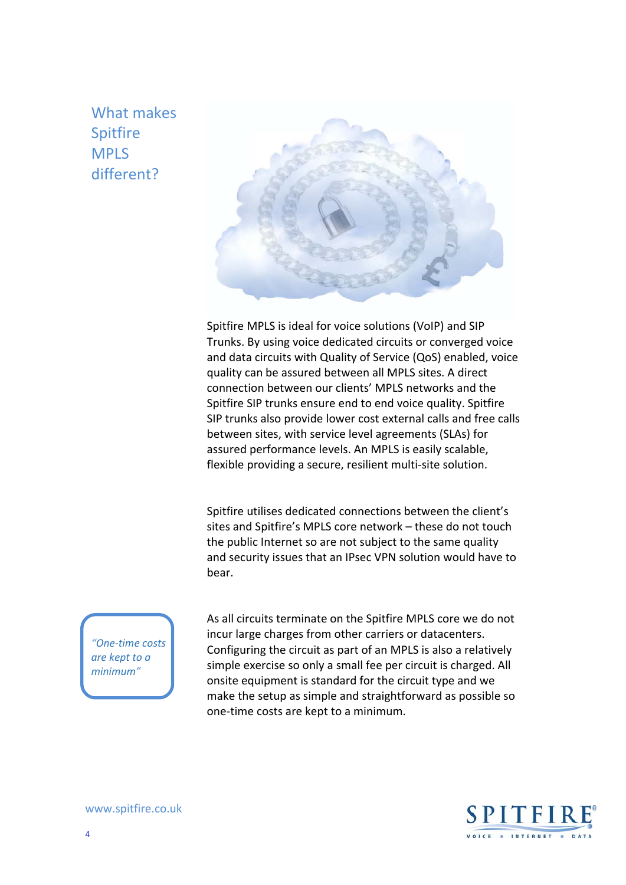What makes **Spitfire** MPLS different?



Spitfire MPLS is ideal for voice solutions (VoIP) and SIP Trunks. By using voice dedicated circuits or converged voice and data circuits with Quality of Service (QoS) enabled, voice quality can be assured between all MPLS sites. A direct connection between our clients' MPLS networks and the Spitfire SIP trunks ensure end to end voice quality. Spitfire SIP trunks also provide lower cost external calls and free calls between sites, with service level agreements (SLAs) for assured performance levels. An MPLS is easily scalable, flexible providing a secure, resilient multi-site solution.

Spitfire utilises dedicated connections between the client's sites and Spitfire's MPLS core network – these do not touch the public Internet so are not subject to the same quality and security issues that an IPsec VPN solution would have to bear.

*"One‐time costs are kept to a minimum"*

As all circuits terminate on the Spitfire MPLS core we do not incur large charges from other carriers or datacenters. Configuring the circuit as part of an MPLS is also a relatively simple exercise so only a small fee per circuit is charged. All onsite equipment is standard for the circuit type and we make the setup as simple and straightforward as possible so one‐time costs are kept to a minimum.

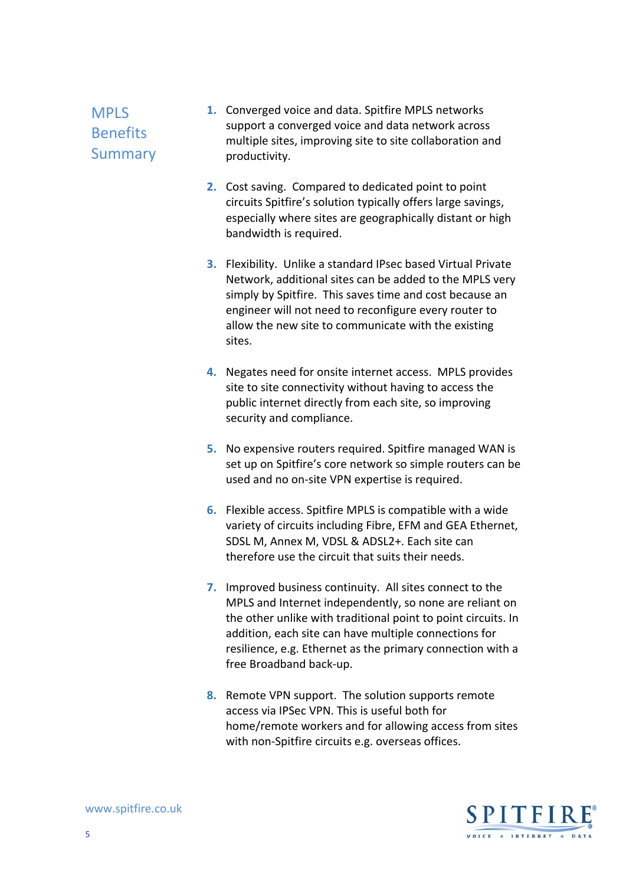## MPLS Benefits **Summary**

- **1.** Converged voice and data. Spitfire MPLS networks support a converged voice and data network across multiple sites, improving site to site collaboration and productivity.
- **2.** Cost saving. Compared to dedicated point to point circuits Spitfire's solution typically offers large savings, especially where sites are geographically distant or high bandwidth is required.
- **3.** Flexibility. Unlike a standard IPsec based Virtual Private Network, additional sites can be added to the MPLS very simply by Spitfire. This saves time and cost because an engineer will not need to reconfigure every router to allow the new site to communicate with the existing sites.
- **4.** Negates need for onsite internet access. MPLS provides site to site connectivity without having to access the public internet directly from each site, so improving security and compliance.
- **5.** No expensive routers required. Spitfire managed WAN is set up on Spitfire's core network so simple routers can be used and no on‐site VPN expertise is required.
- **6.** Flexible access. Spitfire MPLS is compatible with a wide variety of circuits including Fibre, EFM and GEA Ethernet, SDSL M, Annex M, VDSL & ADSL2+. Each site can therefore use the circuit that suits their needs.
- **7.** Improved business continuity. All sites connect to the MPLS and Internet independently, so none are reliant on the other unlike with traditional point to point circuits. In addition, each site can have multiple connections for resilience, e.g. Ethernet as the primary connection with a free Broadband back‐up.
- **8.** Remote VPN support. The solution supports remote access via IPSec VPN. This is useful both for home/remote workers and for allowing access from sites with non-Spitfire circuits e.g. overseas offices.

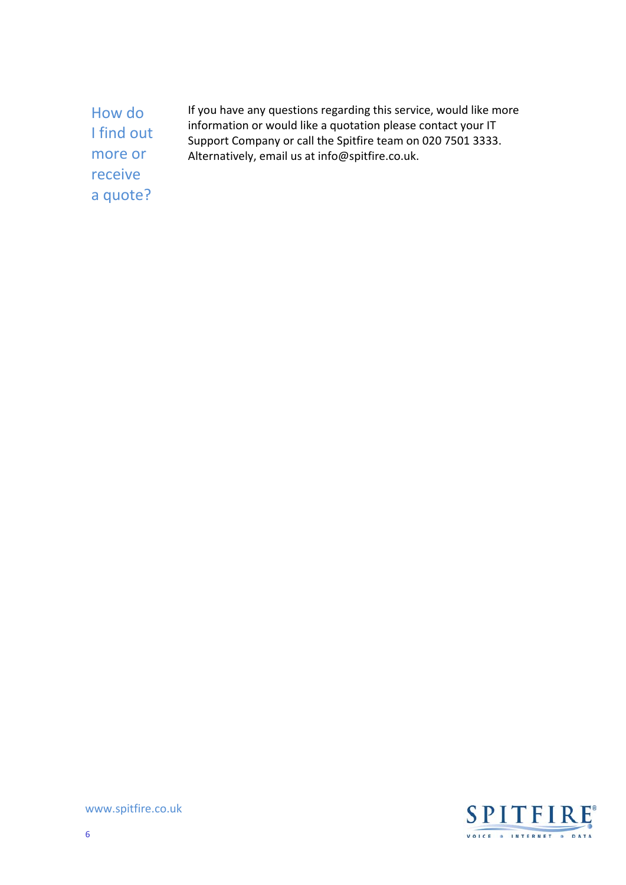| How do     |
|------------|
| I find out |
| more or    |
| receive    |
| a quote?   |

If you have any questions regarding this service, would like more information or would like a quotation please contact your IT Support Company or call the Spitfire team on 020 7501 3333. Alternatively, email us at info@spitfire.co.uk.